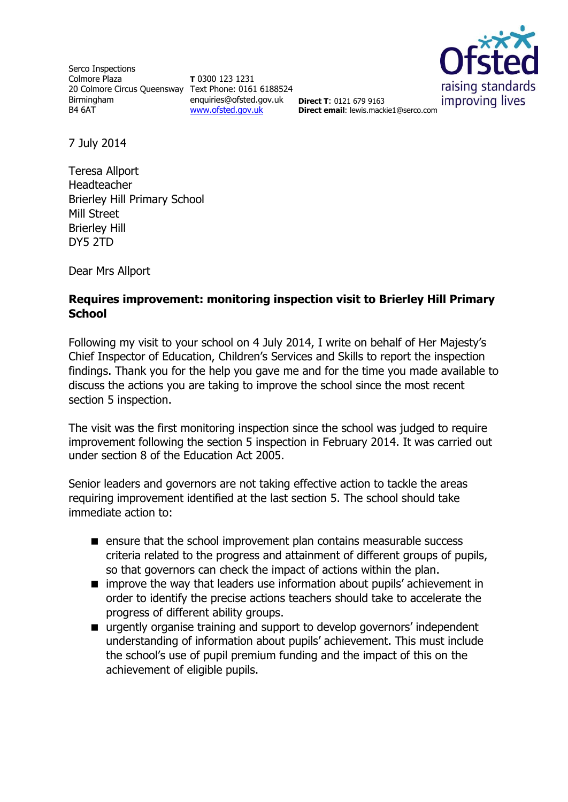Serco Inspections Colmore Plaza 20 Colmore Circus Queensway Text Phone: 0161 6188524 Birmingham B4 6AT

**T** 0300 123 1231 enquiries@ofsted.gov.uk **Direct T**: 0121 679 9163 [www.ofsted.gov.uk](http://www.ofsted.gov.uk/)



**Direct email**: lewis.mackie1@serco.com

7 July 2014

Teresa Allport Headteacher Brierley Hill Primary School Mill Street Brierley Hill DY5 2TD

Dear Mrs Allport

# **Requires improvement: monitoring inspection visit to Brierley Hill Primary School**

Following my visit to your school on 4 July 2014, I write on behalf of Her Majesty's Chief Inspector of Education, Children's Services and Skills to report the inspection findings. Thank you for the help you gave me and for the time you made available to discuss the actions you are taking to improve the school since the most recent section 5 inspection.

The visit was the first monitoring inspection since the school was judged to require improvement following the section 5 inspection in February 2014. It was carried out under section 8 of the Education Act 2005.

Senior leaders and governors are not taking effective action to tackle the areas requiring improvement identified at the last section 5. The school should take immediate action to:

- **E** ensure that the school improvement plan contains measurable success criteria related to the progress and attainment of different groups of pupils, so that governors can check the impact of actions within the plan.
- $\blacksquare$  improve the way that leaders use information about pupils' achievement in order to identify the precise actions teachers should take to accelerate the progress of different ability groups.
- urgently organise training and support to develop governors' independent understanding of information about pupils' achievement. This must include the school's use of pupil premium funding and the impact of this on the achievement of eligible pupils.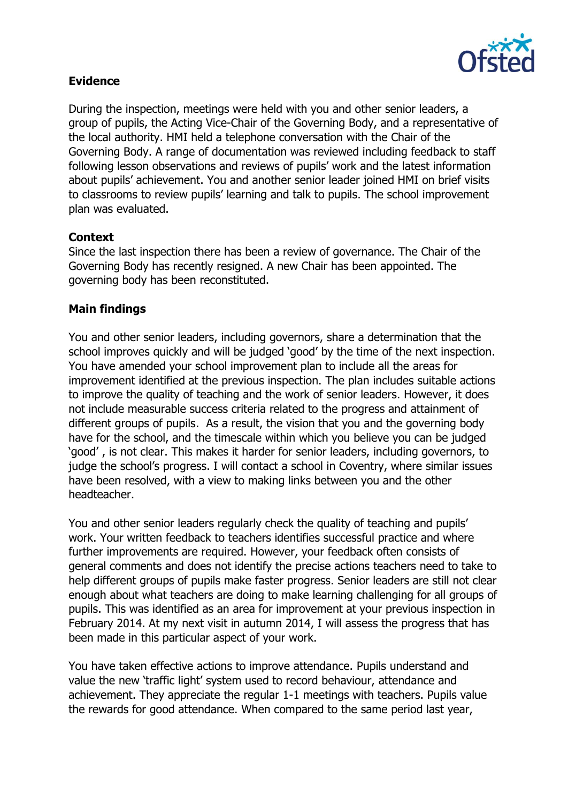

# **Evidence**

During the inspection, meetings were held with you and other senior leaders, a group of pupils, the Acting Vice-Chair of the Governing Body, and a representative of the local authority. HMI held a telephone conversation with the Chair of the Governing Body. A range of documentation was reviewed including feedback to staff following lesson observations and reviews of pupils' work and the latest information about pupils' achievement. You and another senior leader joined HMI on brief visits to classrooms to review pupils' learning and talk to pupils. The school improvement plan was evaluated.

#### **Context**

Since the last inspection there has been a review of governance. The Chair of the Governing Body has recently resigned. A new Chair has been appointed. The governing body has been reconstituted.

### **Main findings**

You and other senior leaders, including governors, share a determination that the school improves quickly and will be judged 'good' by the time of the next inspection. You have amended your school improvement plan to include all the areas for improvement identified at the previous inspection. The plan includes suitable actions to improve the quality of teaching and the work of senior leaders. However, it does not include measurable success criteria related to the progress and attainment of different groups of pupils. As a result, the vision that you and the governing body have for the school, and the timescale within which you believe you can be judged 'good' , is not clear. This makes it harder for senior leaders, including governors, to judge the school's progress. I will contact a school in Coventry, where similar issues have been resolved, with a view to making links between you and the other headteacher.

You and other senior leaders regularly check the quality of teaching and pupils' work. Your written feedback to teachers identifies successful practice and where further improvements are required. However, your feedback often consists of general comments and does not identify the precise actions teachers need to take to help different groups of pupils make faster progress. Senior leaders are still not clear enough about what teachers are doing to make learning challenging for all groups of pupils. This was identified as an area for improvement at your previous inspection in February 2014. At my next visit in autumn 2014, I will assess the progress that has been made in this particular aspect of your work.

You have taken effective actions to improve attendance. Pupils understand and value the new 'traffic light' system used to record behaviour, attendance and achievement. They appreciate the regular 1-1 meetings with teachers. Pupils value the rewards for good attendance. When compared to the same period last year,